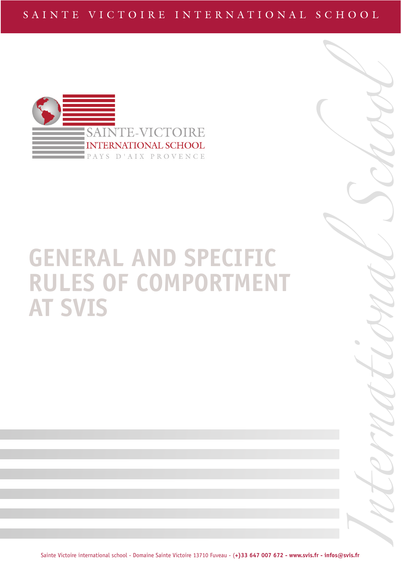

# **GENERAL AND SPECIFIC RULES OF COMPORTMENT AT SVIS**

International School

Sainte Victoire international school - Domaine Sainte Victoire 13710 Fuveau - (**+)33 647 007 672 - www.svis.fr - infos@svis.fr**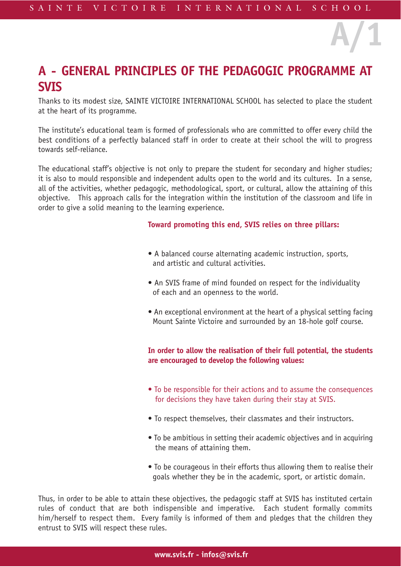# **A - GENERAL PRINCIPLES OF THE PEDAGOGIC PROGRAMME AT SVIS**

Thanks to its modest size, SAINTE VICTOIRE INTERNATIONAL SCHOOL has selected to place the student at the heart of its programme.

The institute's educational team is formed of professionals who are committed to offer every child the best conditions of a perfectly balanced staff in order to create at their school the will to progress towards self-reliance.

The educational staff's objective is not only to prepare the student for secondary and higher studies; it is also to mould responsible and independent adults open to the world and its cultures. In a sense, all of the activities, whether pedagogic, methodological, sport, or cultural, allow the attaining of this objective. This approach calls for the integration within the institution of the classroom and life in order to give a solid meaning to the learning experience.

#### **Toward promoting this end, SVIS relies on three pillars:**

**A/1**

- A balanced course alternating academic instruction, sports, and artistic and cultural activities.
- An SVIS frame of mind founded on respect for the individuality of each and an openness to the world.
- An exceptional environment at the heart of a physical setting facing Mount Sainte Victoire and surrounded by an 18-hole golf course.

### **In order to allow the realisation of their full potential, the students are encouraged to develop the following values:**

- To be responsible for their actions and to assume the consequences for decisions they have taken during their stay at SVIS.
- To respect themselves, their classmates and their instructors.
- To be ambitious in setting their academic objectives and in acquiring the means of attaining them.
- To be courageous in their efforts thus allowing them to realise their goals whether they be in the academic, sport, or artistic domain.

Thus, in order to be able to attain these objectives, the pedagogic staff at SVIS has instituted certain rules of conduct that are both indispensible and imperative. Each student formally commits him/herself to respect them. Every family is informed of them and pledges that the children they entrust to SVIS will respect these rules.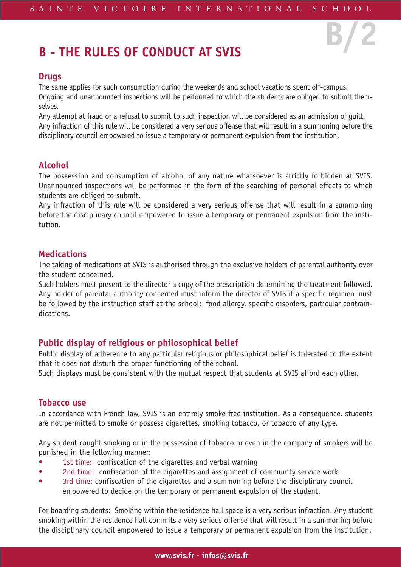**B/2**

# **B - THE RULES OF CONDUCT AT SVIS**

### **Drugs**

The same applies for such consumption during the weekends and school vacations spent off-campus. Ongoing and unannounced inspections will be performed to which the students are obliged to submit themselves.

Any attempt at fraud or a refusal to submit to such inspection will be considered as an admission of guilt. Any infraction of this rule will be considered a very serious offense that will result in a summoning before the disciplinary council empowered to issue a temporary or permanent expulsion from the institution.

# **Alcohol**

The possession and consumption of alcohol of any nature whatsoever is strictly forbidden at SVIS. Unannounced inspections will be performed in the form of the searching of personal effects to which students are obliged to submit.

Any infraction of this rule will be considered a very serious offense that will result in a summoning before the disciplinary council empowered to issue a temporary or permanent expulsion from the institution.

# **Medications**

The taking of medications at SVIS is authorised through the exclusive holders of parental authority over the student concerned.

Such holders must present to the director a copy of the prescription determining the treatment followed. Any holder of parental authority concerned must inform the director of SVIS if a specific regimen must be followed by the instruction staff at the school: food allergy, specific disorders, particular contraindications.

# **Public display of religious or philosophical belief**

Public display of adherence to any particular religious or philosophical belief is tolerated to the extent that it does not disturb the proper functioning of the school.

Such displays must be consistent with the mutual respect that students at SVIS afford each other.

# **Tobacco use**

In accordance with French law, SVIS is an entirely smoke free institution. As a consequence, students are not permitted to smoke or possess cigarettes, smoking tobacco, or tobacco of any type.

Any student caught smoking or in the possession of tobacco or even in the company of smokers will be punished in the following manner:

- 1st time: confiscation of the cigarettes and verbal warning
- 2nd time: confiscation of the cigarettes and assignment of community service work
- 3rd time: confiscation of the cigarettes and a summoning before the disciplinary council empowered to decide on the temporary or permanent expulsion of the student.

For boarding students: Smoking within the residence hall space is a very serious infraction. Any student smoking within the residence hall commits a very serious offense that will result in a summoning before the disciplinary council empowered to issue a temporary or permanent expulsion from the institution.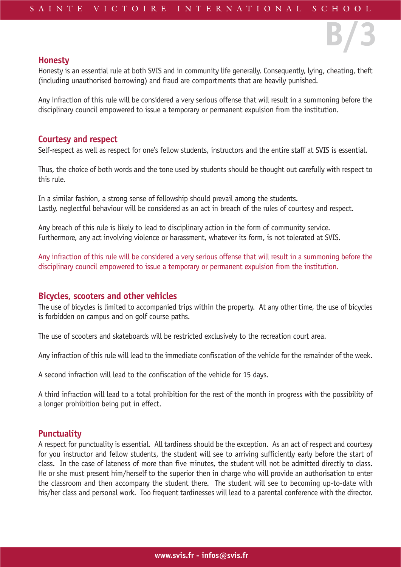#### **Honesty**

Honesty is an essential rule at both SVIS and in community life generally. Consequently, lying, cheating, theft (including unauthorised borrowing) and fraud are comportments that are heavily punished.

**B/3**

Any infraction of this rule will be considered a very serious offense that will result in a summoning before the disciplinary council empowered to issue a temporary or permanent expulsion from the institution.

#### **Courtesy and respect**

Self-respect as well as respect for one's fellow students, instructors and the entire staff at SVIS is essential.

Thus, the choice of both words and the tone used by students should be thought out carefully with respect to this rule.

In a similar fashion, a strong sense of fellowship should prevail among the students. Lastly, neglectful behaviour will be considered as an act in breach of the rules of courtesy and respect.

Any breach of this rule is likely to lead to disciplinary action in the form of community service. Furthermore, any act involving violence or harassment, whatever its form, is not tolerated at SVIS.

Any infraction of this rule will be considered a very serious offense that will result in a summoning before the disciplinary council empowered to issue a temporary or permanent expulsion from the institution.

#### **Bicycles, scooters and other vehicles**

The use of bicycles is limited to accompanied trips within the property. At any other time, the use of bicycles is forbidden on campus and on golf course paths.

The use of scooters and skateboards will be restricted exclusively to the recreation court area.

Any infraction of this rule will lead to the immediate confiscation of the vehicle for the remainder of the week.

A second infraction will lead to the confiscation of the vehicle for 15 days.

A third infraction will lead to a total prohibition for the rest of the month in progress with the possibility of a longer prohibition being put in effect.

#### **Punctuality**

A respect for punctuality is essential. All tardiness should be the exception. As an act of respect and courtesy for you instructor and fellow students, the student will see to arriving sufficiently early before the start of class. In the case of lateness of more than five minutes, the student will not be admitted directly to class. He or she must present him/herself to the superior then in charge who will provide an authorisation to enter the classroom and then accompany the student there. The student will see to becoming up-to-date with his/her class and personal work. Too frequent tardinesses will lead to a parental conference with the director.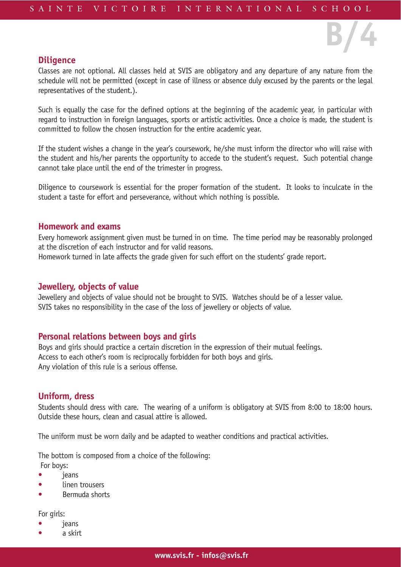### **Diligence**

Classes are not optional. All classes held at SVIS are obligatory and any departure of any nature from the schedule will not be permitted (except in case of illness or absence duly excused by the parents or the legal representatives of the student.).

**B/4**

Such is equally the case for the defined options at the beginning of the academic year, in particular with regard to instruction in foreign languages, sports or artistic activities. Once a choice is made, the student is committed to follow the chosen instruction for the entire academic year.

If the student wishes a change in the year's coursework, he/she must inform the director who will raise with the student and his/her parents the opportunity to accede to the student's request. Such potential change cannot take place until the end of the trimester in progress.

Diligence to coursework is essential for the proper formation of the student. It looks to inculcate in the student a taste for effort and perseverance, without which nothing is possible.

#### **Homework and exams**

Every homework assignment given must be turned in on time. The time period may be reasonably prolonged at the discretion of each instructor and for valid reasons.

Homework turned in late affects the grade given for such effort on the students' grade report.

#### **Jewellery, objects of value**

Jewellery and objects of value should not be brought to SVIS. Watches should be of a lesser value. SVIS takes no responsibility in the case of the loss of jewellery or objects of value.

#### **Personal relations between boys and girls**

Boys and girls should practice a certain discretion in the expression of their mutual feelings. Access to each other's room is reciprocally forbidden for both boys and girls. Any violation of this rule is a serious offense.

#### **Uniform, dress**

Students should dress with care. The wearing of a uniform is obligatory at SVIS from 8:00 to 18:00 hours. Outside these hours, clean and casual attire is allowed.

The uniform must be worn daily and be adapted to weather conditions and practical activities.

The bottom is composed from a choice of the following:

For boys:

- jeans
- linen trousers
- Bermuda shorts

For girls:

- *jeans*
- a skirt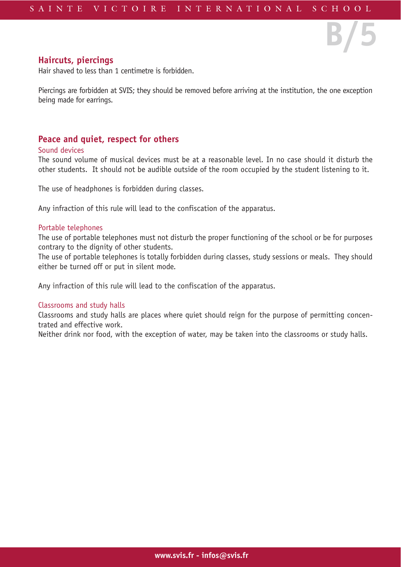**B/5**

### **Haircuts, piercings**

Hair shaved to less than 1 centimetre is forbidden.

Piercings are forbidden at SVIS; they should be removed before arriving at the institution, the one exception being made for earrings.

# **Peace and quiet, respect for others**

#### Sound devices

The sound volume of musical devices must be at a reasonable level. In no case should it disturb the other students. It should not be audible outside of the room occupied by the student listening to it.

The use of headphones is forbidden during classes.

Any infraction of this rule will lead to the confiscation of the apparatus.

#### Portable telephones

The use of portable telephones must not disturb the proper functioning of the school or be for purposes contrary to the dignity of other students.

The use of portable telephones is totally forbidden during classes, study sessions or meals. They should either be turned off or put in silent mode.

Any infraction of this rule will lead to the confiscation of the apparatus.

#### Classrooms and study halls

Classrooms and study halls are places where quiet should reign for the purpose of permitting concentrated and effective work.

Neither drink nor food, with the exception of water, may be taken into the classrooms or study halls.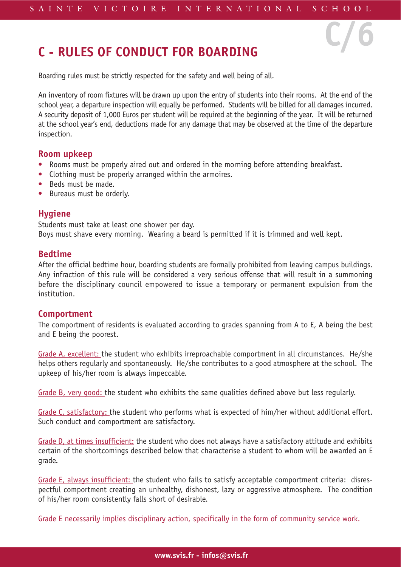**C/6**

# **C - RULES OF CONDUCT FOR BOARDING**

Boarding rules must be strictly respected for the safety and well being of all.

An inventory of room fixtures will be drawn up upon the entry of students into their rooms. At the end of the school year, a departure inspection will equally be performed. Students will be billed for all damages incurred. A security deposit of 1,000 Euros per student will be required at the beginning of the year. It will be returned at the school year's end, deductions made for any damage that may be observed at the time of the departure inspection.

#### **Room upkeep**

- Rooms must be properly aired out and ordered in the morning before attending breakfast.
- Clothing must be properly arranged within the armoires.
- Beds must be made.
- Bureaus must be orderly.

# **Hygiene**

Students must take at least one shower per day. Boys must shave every morning. Wearing a beard is permitted if it is trimmed and well kept.

# **Bedtime**

After the official bedtime hour, boarding students are formally prohibited from leaving campus buildings. Any infraction of this rule will be considered a very serious offense that will result in a summoning before the disciplinary council empowered to issue a temporary or permanent expulsion from the institution.

### **Comportment**

The comportment of residents is evaluated according to grades spanning from A to E, A being the best and E being the poorest.

Grade A, excellent: the student who exhibits irreproachable comportment in all circumstances. He/she helps others regularly and spontaneously. He/she contributes to a good atmosphere at the school. The upkeep of his/her room is always impeccable.

Grade B, very good: the student who exhibits the same qualities defined above but less regularly.

Grade C, satisfactory: the student who performs what is expected of him/her without additional effort. Such conduct and comportment are satisfactory.

Grade D, at times insufficient: the student who does not always have a satisfactory attitude and exhibits certain of the shortcomings described below that characterise a student to whom will be awarded an E grade.

Grade E, always insufficient: the student who fails to satisfy acceptable comportment criteria: disrespectful comportment creating an unhealthy, dishonest, lazy or aggressive atmosphere. The condition of his/her room consistently falls short of desirable.

Grade E necessarily implies disciplinary action, specifically in the form of community service work.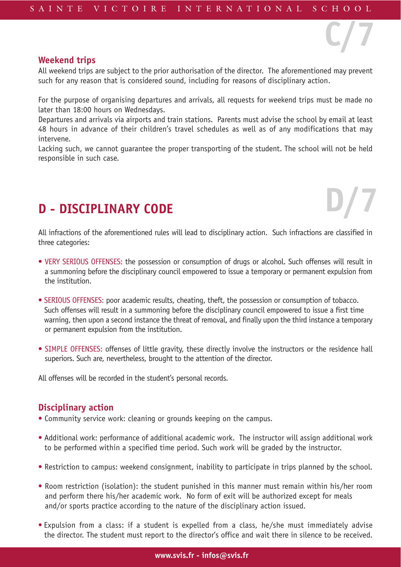#### **Weekend trips**

All weekend trips are subject to the prior authorisation of the director. The aforementioned may prevent such for any reason that is considered sound, including for reasons of disciplinary action.

**C/7**

**D/7**

For the purpose of organising departures and arrivals, all requests for weekend trips must be made no later than 18:00 hours on Wednesdays.

Departures and arrivals via airports and train stations. Parents must advise the school by email at least 48 hours in advance of their children's travel schedules as well as of any modifications that may intervene.

Lacking such, we cannot guarantee the proper transporting of the student. The school will not be held responsible in such case.

# **D - DISCIPLINARY CODE**

All infractions of the aforementioned rules will lead to disciplinary action. Such infractions are classified in three categories:

- VERY SERIOUS OFFENSES: the possession or consumption of drugs or alcohol. Such offenses will result in a summoning before the disciplinary council empowered to issue a temporary or permanent expulsion from the institution.
- SERIOUS OFFENSES: poor academic results, cheating, theft, the possession or consumption of tobacco. Such offenses will result in a summoning before the disciplinary council empowered to issue a first time warning, then upon a second instance the threat of removal, and finally upon the third instance a temporary or permanent expulsion from the institution.
- SIMPLE OFFENSES: offenses of little gravity, these directly involve the instructors or the residence hall superiors. Such are, nevertheless, brought to the attention of the director.

All offenses will be recorded in the student's personal records.

# **Disciplinary action**

- Community service work: cleaning or grounds keeping on the campus.
- Additional work: performance of additional academic work. The instructor will assign additional work to be performed within a specified time period. Such work will be graded by the instructor.
- Restriction to campus: weekend consignment, inability to participate in trips planned by the school.
- Room restriction (isolation): the student punished in this manner must remain within his/her room and perform there his/her academic work. No form of exit will be authorized except for meals and/or sports practice according to the nature of the disciplinary action issued.
- Expulsion from a class: if a student is expelled from a class, he/she must immediately advise the director. The student must report to the director's office and wait there in silence to be received.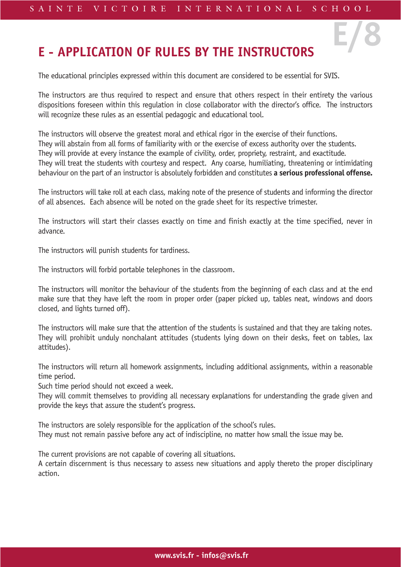**E/8**

# **E - APPLICATION OF RULES BY THE INSTRUCTORS**

The educational principles expressed within this document are considered to be essential for SVIS.

The instructors are thus required to respect and ensure that others respect in their entirety the various dispositions foreseen within this regulation in close collaborator with the director's office. The instructors will recognize these rules as an essential pedagogic and educational tool.

The instructors will observe the greatest moral and ethical rigor in the exercise of their functions. They will abstain from all forms of familiarity with or the exercise of excess authority over the students. They will provide at every instance the example of civility, order, propriety, restraint, and exactitude. They will treat the students with courtesy and respect. Any coarse, humiliating, threatening or intimidating behaviour on the part of an instructor is absolutely forbidden and constitutes **a serious professional offense.**

The instructors will take roll at each class, making note of the presence of students and informing the director of all absences. Each absence will be noted on the grade sheet for its respective trimester.

The instructors will start their classes exactly on time and finish exactly at the time specified, never in advance.

The instructors will punish students for tardiness.

The instructors will forbid portable telephones in the classroom.

The instructors will monitor the behaviour of the students from the beginning of each class and at the end make sure that they have left the room in proper order (paper picked up, tables neat, windows and doors closed, and lights turned off).

The instructors will make sure that the attention of the students is sustained and that they are taking notes. They will prohibit unduly nonchalant attitudes (students lying down on their desks, feet on tables, lax attitudes).

The instructors will return all homework assignments, including additional assignments, within a reasonable time period.

Such time period should not exceed a week.

They will commit themselves to providing all necessary explanations for understanding the grade given and provide the keys that assure the student's progress.

The instructors are solely responsible for the application of the school's rules. They must not remain passive before any act of indiscipline, no matter how small the issue may be.

The current provisions are not capable of covering all situations.

A certain discernment is thus necessary to assess new situations and apply thereto the proper disciplinary action.